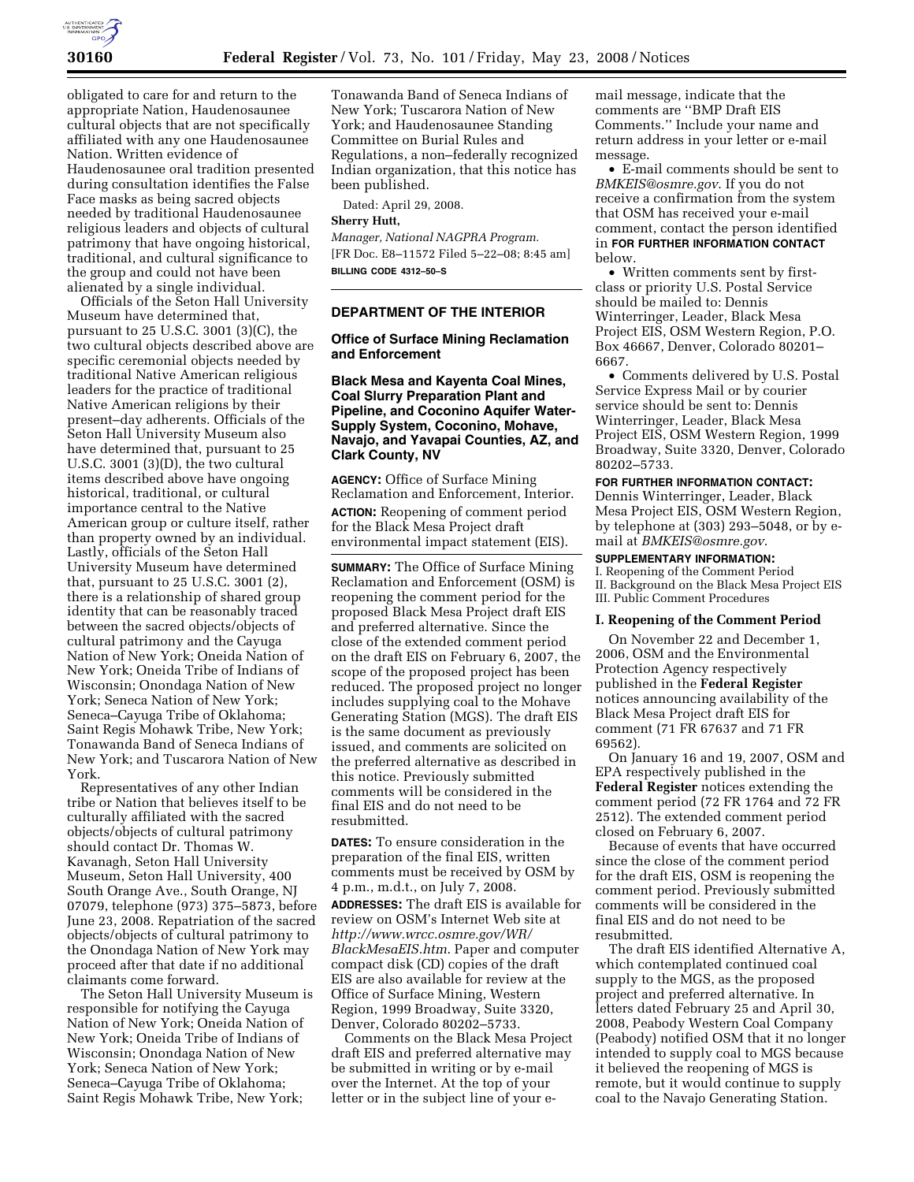

obligated to care for and return to the appropriate Nation, Haudenosaunee cultural objects that are not specifically affiliated with any one Haudenosaunee Nation. Written evidence of Haudenosaunee oral tradition presented during consultation identifies the False Face masks as being sacred objects needed by traditional Haudenosaunee religious leaders and objects of cultural patrimony that have ongoing historical, traditional, and cultural significance to the group and could not have been alienated by a single individual.

Officials of the Seton Hall University Museum have determined that, pursuant to 25 U.S.C. 3001 (3)(C), the two cultural objects described above are specific ceremonial objects needed by traditional Native American religious leaders for the practice of traditional Native American religions by their present–day adherents. Officials of the Seton Hall University Museum also have determined that, pursuant to 25 U.S.C. 3001 (3)(D), the two cultural items described above have ongoing historical, traditional, or cultural importance central to the Native American group or culture itself, rather than property owned by an individual. Lastly, officials of the Seton Hall University Museum have determined that, pursuant to 25 U.S.C. 3001 (2), there is a relationship of shared group identity that can be reasonably traced between the sacred objects/objects of cultural patrimony and the Cayuga Nation of New York; Oneida Nation of New York; Oneida Tribe of Indians of Wisconsin; Onondaga Nation of New York; Seneca Nation of New York; Seneca–Cayuga Tribe of Oklahoma; Saint Regis Mohawk Tribe, New York; Tonawanda Band of Seneca Indians of New York; and Tuscarora Nation of New York.

Representatives of any other Indian tribe or Nation that believes itself to be culturally affiliated with the sacred objects/objects of cultural patrimony should contact Dr. Thomas W. Kavanagh, Seton Hall University Museum, Seton Hall University, 400 South Orange Ave., South Orange, NJ 07079, telephone (973) 375–5873, before June 23, 2008. Repatriation of the sacred objects/objects of cultural patrimony to the Onondaga Nation of New York may proceed after that date if no additional claimants come forward.

The Seton Hall University Museum is responsible for notifying the Cayuga Nation of New York; Oneida Nation of New York; Oneida Tribe of Indians of Wisconsin; Onondaga Nation of New York; Seneca Nation of New York; Seneca–Cayuga Tribe of Oklahoma; Saint Regis Mohawk Tribe, New York;

Tonawanda Band of Seneca Indians of New York; Tuscarora Nation of New York; and Haudenosaunee Standing Committee on Burial Rules and Regulations, a non–federally recognized Indian organization, that this notice has been published.

Dated: April 29, 2008.

## **Sherry Hutt,**

*Manager, National NAGPRA Program.*  [FR Doc. E8–11572 Filed 5–22–08; 8:45 am] **BILLING CODE 4312–50–S** 

## **DEPARTMENT OF THE INTERIOR**

### **Office of Surface Mining Reclamation and Enforcement**

## **Black Mesa and Kayenta Coal Mines, Coal Slurry Preparation Plant and Pipeline, and Coconino Aquifer Water-Supply System, Coconino, Mohave, Navajo, and Yavapai Counties, AZ, and Clark County, NV**

**AGENCY:** Office of Surface Mining Reclamation and Enforcement, Interior. **ACTION:** Reopening of comment period for the Black Mesa Project draft environmental impact statement (EIS).

**SUMMARY:** The Office of Surface Mining Reclamation and Enforcement (OSM) is reopening the comment period for the proposed Black Mesa Project draft EIS and preferred alternative. Since the close of the extended comment period on the draft EIS on February 6, 2007, the scope of the proposed project has been reduced. The proposed project no longer includes supplying coal to the Mohave Generating Station (MGS). The draft EIS is the same document as previously issued, and comments are solicited on the preferred alternative as described in this notice. Previously submitted comments will be considered in the final EIS and do not need to be resubmitted.

**DATES:** To ensure consideration in the preparation of the final EIS, written comments must be received by OSM by 4 p.m., m.d.t., on July 7, 2008.

**ADDRESSES:** The draft EIS is available for review on OSM's Internet Web site at *http://www.wrcc.osmre.gov/WR/ BlackMesaEIS.htm*. Paper and computer compact disk (CD) copies of the draft EIS are also available for review at the Office of Surface Mining, Western Region, 1999 Broadway, Suite 3320, Denver, Colorado 80202–5733.

Comments on the Black Mesa Project draft EIS and preferred alternative may be submitted in writing or by e-mail over the Internet. At the top of your letter or in the subject line of your e-

mail message, indicate that the comments are ''BMP Draft EIS Comments.'' Include your name and return address in your letter or e-mail message.

• E-mail comments should be sent to *BMKEIS@osmre.gov*. If you do not receive a confirmation from the system that OSM has received your e-mail comment, contact the person identified in **FOR FURTHER INFORMATION CONTACT** below.

• Written comments sent by firstclass or priority U.S. Postal Service should be mailed to: Dennis Winterringer, Leader, Black Mesa Project EIS, OSM Western Region, P.O. Box 46667, Denver, Colorado 80201– 6667.

• Comments delivered by U.S. Postal Service Express Mail or by courier service should be sent to: Dennis Winterringer, Leader, Black Mesa Project EIS, OSM Western Region, 1999 Broadway, Suite 3320, Denver, Colorado 80202–5733.

#### **FOR FURTHER INFORMATION CONTACT:**

Dennis Winterringer, Leader, Black Mesa Project EIS, OSM Western Region, by telephone at (303) 293–5048, or by email at *BMKEIS@osmre.gov*.

## **SUPPLEMENTARY INFORMATION:**

I. Reopening of the Comment Period II. Background on the Black Mesa Project EIS III. Public Comment Procedures

### **I. Reopening of the Comment Period**

On November 22 and December 1, 2006, OSM and the Environmental Protection Agency respectively published in the **Federal Register**  notices announcing availability of the Black Mesa Project draft EIS for comment (71 FR 67637 and 71 FR 69562).

On January 16 and 19, 2007, OSM and EPA respectively published in the **Federal Register** notices extending the comment period (72 FR 1764 and 72 FR 2512). The extended comment period closed on February 6, 2007.

Because of events that have occurred since the close of the comment period for the draft EIS, OSM is reopening the comment period. Previously submitted comments will be considered in the final EIS and do not need to be resubmitted.

The draft EIS identified Alternative A, which contemplated continued coal supply to the MGS, as the proposed project and preferred alternative. In letters dated February 25 and April 30, 2008, Peabody Western Coal Company (Peabody) notified OSM that it no longer intended to supply coal to MGS because it believed the reopening of MGS is remote, but it would continue to supply coal to the Navajo Generating Station.